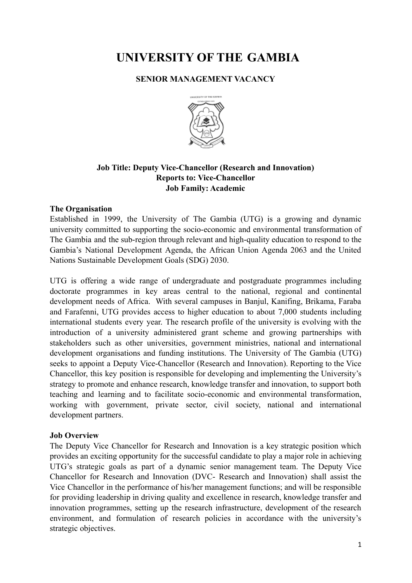# **UNIVERSITY OF THE GAMBIA**

### **SENIOR MANAGEMENT VACANCY**



## **Job Title: Deputy Vice-Chancellor (Research and Innovation) Reports to: Vice-Chancellor Job Family: Academic**

## **The Organisation**

Established in 1999, the University of The Gambia (UTG) is a growing and dynamic university committed to supporting the socio-economic and environmental transformation of The Gambia and the sub-region through relevant and high-quality education to respond to the Gambia's National Development Agenda, the African Union Agenda 2063 and the United Nations Sustainable Development Goals (SDG) 2030.

UTG is offering a wide range of undergraduate and postgraduate programmes including doctorate programmes in key areas central to the national, regional and continental development needs of Africa. With several campuses in Banjul, Kanifing, Brikama, Faraba and Farafenni, UTG provides access to higher education to about 7,000 students including international students every year. The research profile of the university is evolving with the introduction of a university administered grant scheme and growing partnerships with stakeholders such as other universities, government ministries, national and international development organisations and funding institutions. The University of The Gambia (UTG) seeks to appoint a Deputy Vice-Chancellor (Research and Innovation). Reporting to the Vice Chancellor, this key position is responsible for developing and implementing the University's strategy to promote and enhance research, knowledge transfer and innovation, to support both teaching and learning and to facilitate socio-economic and environmental transformation, working with government, private sector, civil society, national and international development partners.

#### **Job Overview**

The Deputy Vice Chancellor for Research and Innovation is a key strategic position which provides an exciting opportunity for the successful candidate to play a major role in achieving UTG's strategic goals as part of a dynamic senior management team. The Deputy Vice Chancellor for Research and Innovation (DVC- Research and Innovation) shall assist the Vice Chancellor in the performance of his/her management functions; and will be responsible for providing leadership in driving quality and excellence in research, knowledge transfer and innovation programmes, setting up the research infrastructure, development of the research environment, and formulation of research policies in accordance with the university's strategic objectives.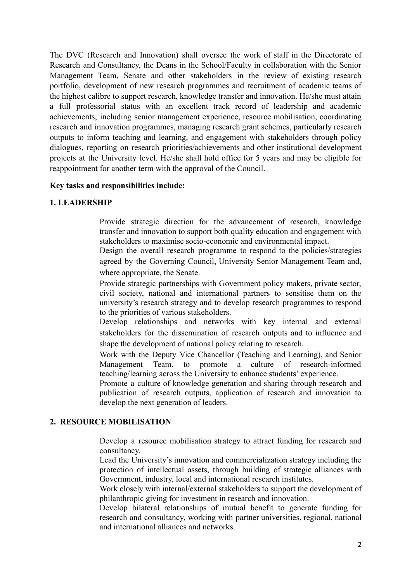The DVC (Research and Innovation) shall oversee the work of staff in the Directorate of Research and Consultancy, the Deans in the School/Faculty in collaboration with the Senior Management Team, Senate and other stakeholders in the review of existing research portfolio, development of new research programmes and recruitment of academic teams of the highest calibre to support research, knowledge transfer and innovation. He/she must attain a full professorial status with an excellent track record of leadership and academic achievements, including senior management experience, resource mobilisation, coordinating research and innovation programmes, managing research grant schemes, particularly research outputs to inform teaching and learning, and engagement with stakeholders through policy dialogues, reporting on research priorities/achievements and other institutional development projects at the University level. He/she shall hold office for 5 years and may be eligible for reappointment for another term with the approval of the Council.

#### **Key tasks and responsibilities include:**

## **1. LEADERSHIP**

Provide strategic direction for the advancement of research, knowledge transfer and innovation to support both quality education and engagement with stakeholders to maximise socio-economic and environmental impact.

Design the overall research programme to respond to the policies/strategies agreed by the Governing Council, University Senior Management Team and, where appropriate, the Senate.

Provide strategic partnerships with Government policy makers, private sector, civil society, national and international partners to sensitise them on the university's research strategy and to develop research programmes to respond to the priorities of various stakeholders.

Develop relationships and networks with key internal and external stakeholders for the dissemination of research outputs and to influence and shape the development of national policy relating to research.

Work with the Deputy Vice Chancellor (Teaching and Learning), and Senior Management Team, to promote a culture of research-informed teaching/learning across the University to enhance students' experience.

Promote a culture of knowledge generation and sharing through research and publication of research outputs, application of research and innovation to develop the next generation of leaders.

### **2. RESOURCE MOBILISATION**

Develop a resource mobilisation strategy to attract funding for research and consultancy.

Lead the University's innovation and commercialization strategy including the protection of intellectual assets, through building of strategic alliances with Government, industry, local and international research institutes.

Work closely with internal/external stakeholders to support the development of philanthropic giving for investment in research and innovation.

Develop bilateral relationships of mutual benefit to generate funding for research and consultancy, working with partner universities, regional, national and international alliances and networks.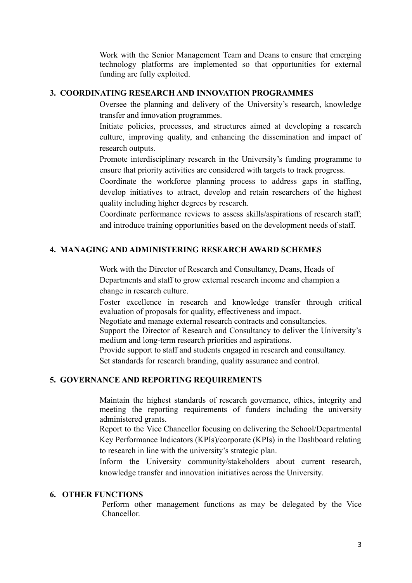Work with the Senior Management Team and Deans to ensure that emerging technology platforms are implemented so that opportunities for external funding are fully exploited.

#### **3. COORDINATING RESEARCH AND INNOVATION PROGRAMMES**

Oversee the planning and delivery of the University's research, knowledge transfer and innovation programmes.

Initiate policies, processes, and structures aimed at developing a research culture, improving quality, and enhancing the dissemination and impact of research outputs.

Promote interdisciplinary research in the University's funding programme to ensure that priority activities are considered with targets to track progress.

Coordinate the workforce planning process to address gaps in staffing, develop initiatives to attract, develop and retain researchers of the highest quality including higher degrees by research.

Coordinate performance reviews to assess skills/aspirations of research staff; and introduce training opportunities based on the development needs of staff.

## **4. MANAGING AND ADMINISTERING RESEARCH AWARD SCHEMES**

Work with the Director of Research and Consultancy, Deans, Heads of Departments and staff to grow external research income and champion a change in research culture.

Foster excellence in research and knowledge transfer through critical evaluation of proposals for quality, effectiveness and impact.

Negotiate and manage external research contracts and consultancies.

Support the Director of Research and Consultancy to deliver the University's medium and long-term research priorities and aspirations.

Provide support to staff and students engaged in research and consultancy.

Set standards for research branding, quality assurance and control.

## **5. GOVERNANCE AND REPORTING REQUIREMENTS**

Maintain the highest standards of research governance, ethics, integrity and meeting the reporting requirements of funders including the university administered grants.

Report to the Vice Chancellor focusing on delivering the School/Departmental Key Performance Indicators (KPIs)/corporate (KPIs) in the Dashboard relating to research in line with the university's strategic plan.

Inform the University community/stakeholders about current research, knowledge transfer and innovation initiatives across the University.

#### **6. OTHER FUNCTIONS**

Perform other management functions as may be delegated by the Vice Chancellor.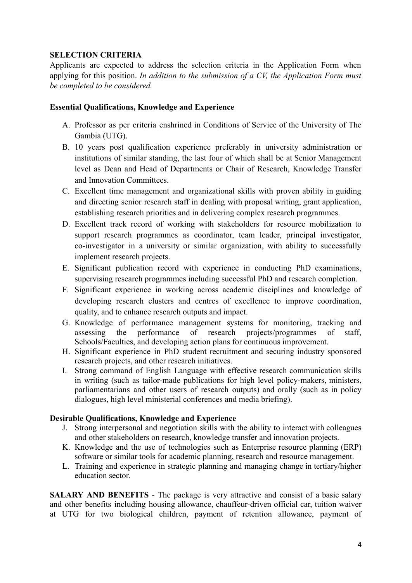## **SELECTION CRITERIA**

Applicants are expected to address the selection criteria in the Application Form when applying for this position. *In addition to the submission of a CV, the Application Form must be completed to be considered.*

## **Essential Qualifications, Knowledge and Experience**

- A. Professor as per criteria enshrined in Conditions of Service of the University of The Gambia (UTG).
- B. 10 years post qualification experience preferably in university administration or institutions of similar standing, the last four of which shall be at Senior Management level as Dean and Head of Departments or Chair of Research, Knowledge Transfer and Innovation Committees.
- C. Excellent time management and organizational skills with proven ability in guiding and directing senior research staff in dealing with proposal writing, grant application, establishing research priorities and in delivering complex research programmes.
- D. Excellent track record of working with stakeholders for resource mobilization to support research programmes as coordinator, team leader, principal investigator, co-investigator in a university or similar organization, with ability to successfully implement research projects.
- E. Significant publication record with experience in conducting PhD examinations, supervising research programmes including successful PhD and research completion.
- F. Significant experience in working across academic disciplines and knowledge of developing research clusters and centres of excellence to improve coordination, quality, and to enhance research outputs and impact.
- G. Knowledge of performance management systems for monitoring, tracking and assessing the performance of research projects/programmes of staff, Schools/Faculties, and developing action plans for continuous improvement.
- H. Significant experience in PhD student recruitment and securing industry sponsored research projects, and other research initiatives.
- I. Strong command of English Language with effective research communication skills in writing (such as tailor-made publications for high level policy-makers, ministers, parliamentarians and other users of research outputs) and orally (such as in policy dialogues, high level ministerial conferences and media briefing).

## **Desirable Qualifications, Knowledge and Experience**

- J. Strong interpersonal and negotiation skills with the ability to interact with colleagues and other stakeholders on research, knowledge transfer and innovation projects.
- K. Knowledge and the use of technologies such as Enterprise resource planning (ERP) software or similar tools for academic planning, research and resource management.
- L. Training and experience in strategic planning and managing change in tertiary/higher education sector.

**SALARY AND BENEFITS** - The package is very attractive and consist of a basic salary and other benefits including housing allowance, chauffeur-driven official car, tuition waiver at UTG for two biological children, payment of retention allowance, payment of